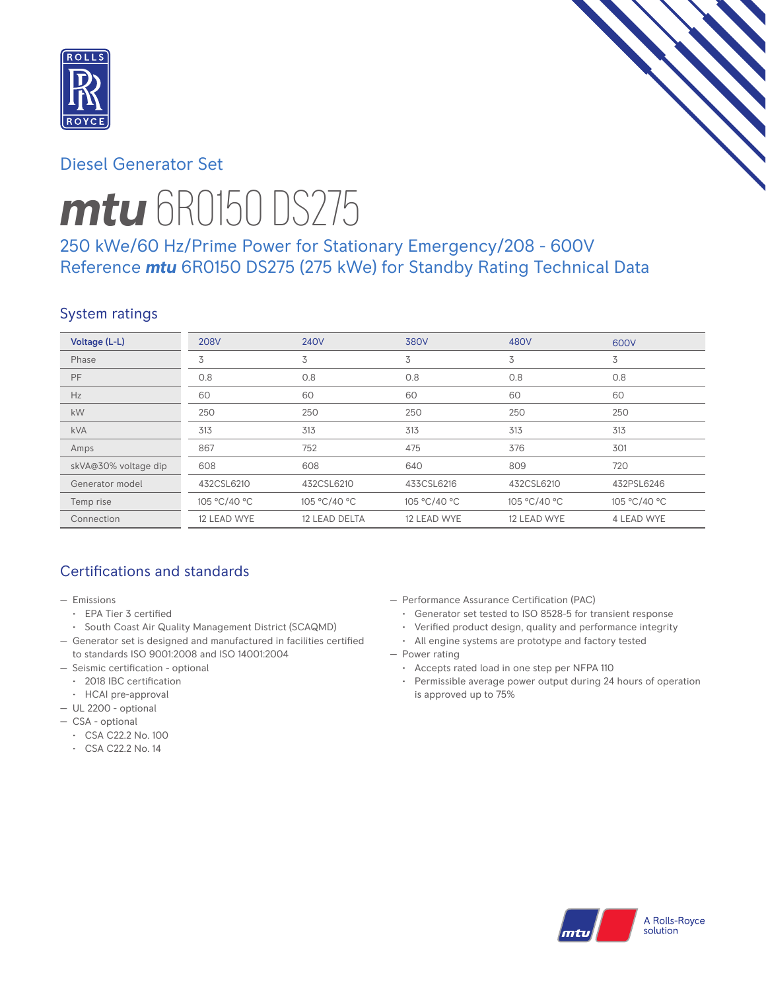

## Diesel Generator Set



# *mtu* 6R0150 DS275

# 250 kWe/60 Hz/Prime Power for Stationary Emergency/208 - 600V Reference *mtu* 6R0150 DS275 (275 kWe) for Standby Rating Technical Data

# System ratings

| Voltage (L-L)        | <b>208V</b>  | <b>240V</b>   | 380V         | 480V         | 600V              |
|----------------------|--------------|---------------|--------------|--------------|-------------------|
| Phase                | 3            | 3             | 3            | 3            | 3                 |
| PF                   | 0.8          | 0.8           | 0.8          | 0.8          | 0.8               |
| Hz                   | 60           | 60            | 60           | 60           | 60                |
| kW                   | 250          | 250           | 250          | 250          | 250               |
| <b>kVA</b>           | 313          | 313           | 313          | 313          | 313               |
| Amps                 | 867          | 752           | 475          | 376          | 301               |
| skVA@30% voltage dip | 608          | 608           | 640          | 809          | 720               |
| Generator model      | 432CSL6210   | 432CSL6210    | 433CSL6216   | 432CSL6210   | 432PSL6246        |
| Temp rise            | 105 °C/40 °C | 105 °C/40 °C  | 105 °C/40 °C | 105 °C/40 °C | 105 °C/40 °C      |
| Connection           | 12 LEAD WYE  | 12 LEAD DELTA | 12 LEAD WYE  | 12 LEAD WYE  | <b>4 LEAD WYE</b> |

# Certifications and standards

- Emissions
	- EPA Tier 3 certified
	- South Coast Air Quality Management District (SCAQMD)
- Generator set is designed and manufactured in facilities certified to standards ISO 9001:2008 and ISO 14001:2004
- Seismic certification optional
	- 2018 IBC certification
	- HCAI pre-approval
- UL 2200 optional
- CSA optional
	- CSA C22.2 No. 100
	- CSA C22.2 No. 14
- Performance Assurance Certification (PAC)
	- Generator set tested to ISO 8528-5 for transient response
	- Verified product design, quality and performance integrity
	- All engine systems are prototype and factory tested
- Power rating
	- Accepts rated load in one step per NFPA 110
	- Permissible average power output during 24 hours of operation is approved up to 75%

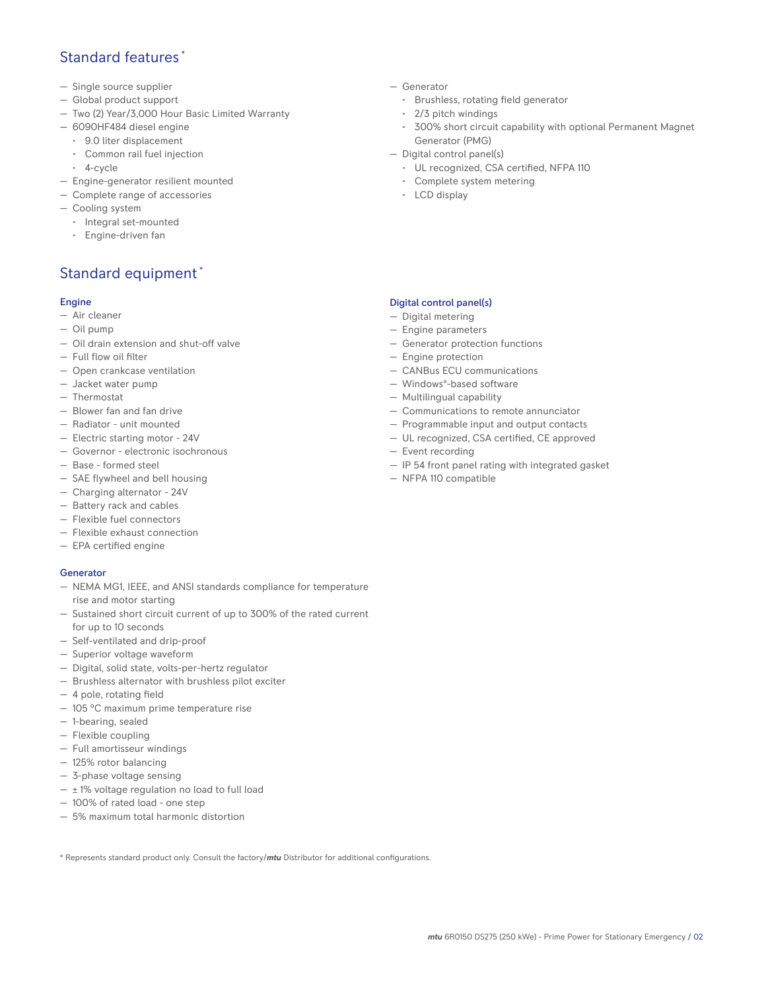## Standard features \*

- Single source supplier
- Global product support
- Two (2) Year/3,000 Hour Basic Limited Warranty
- 6090HF484 diesel engine
	- 9.0 liter displacement
	- Common rail fuel injection
	- 4-cycle
- Engine-generator resilient mounted
- Complete range of accessories
- Cooling system
- Integral set-mounted
	- Engine-driven fan

# Standard equipment \*

### Engine

- Air cleaner
- Oil pump
- Oil drain extension and shut-off valve
- Full flow oil filter
- Open crankcase ventilation
- Jacket water pump
- Thermostat
- Blower fan and fan drive
- Radiator unit mounted
- Electric starting motor 24V
- Governor electronic isochronous
- Base formed steel
- SAE flywheel and bell housing
- Charging alternator 24V
- Battery rack and cables
- Flexible fuel connectors
- Flexible exhaust connection
- EPA certified engine

#### **Generator**

- NEMA MG1, IEEE, and ANSI standards compliance for temperature rise and motor starting
- Sustained short circuit current of up to 300% of the rated current for up to 10 seconds
- Self-ventilated and drip-proof
- Superior voltage waveform
- Digital, solid state, volts-per-hertz regulator
- Brushless alternator with brushless pilot exciter
- 4 pole, rotating field
- 105 °C maximum prime temperature rise
- 1-bearing, sealed
- Flexible coupling
- Full amortisseur windings
- 125% rotor balancing
- 3-phase voltage sensing
- $\pm$  1% voltage regulation no load to full load
- 100% of rated load one step
- 5% maximum total harmonic distortion

\* Represents standard product only. Consult the factory/*mtu* Distributor for additional configurations.

- Generator
	- Brushless, rotating field generator
	- 2/3 pitch windings
	- 300% short circuit capability with optional Permanent Magnet Generator (PMG)
- Digital control panel(s)
	- UL recognized, CSA certified, NFPA 110
	- Complete system metering
	- LCD display

## Digital control panel(s)

- Digital metering
- Engine parameters
- Generator protection functions
- Engine protection
- CANBus ECU communications
- Windows®-based software
- Multilingual capability
- Communications to remote annunciator
- Programmable input and output contacts
- UL recognized, CSA certified, CE approved
- Event recording
- IP 54 front panel rating with integrated gasket
- NFPA 110 compatible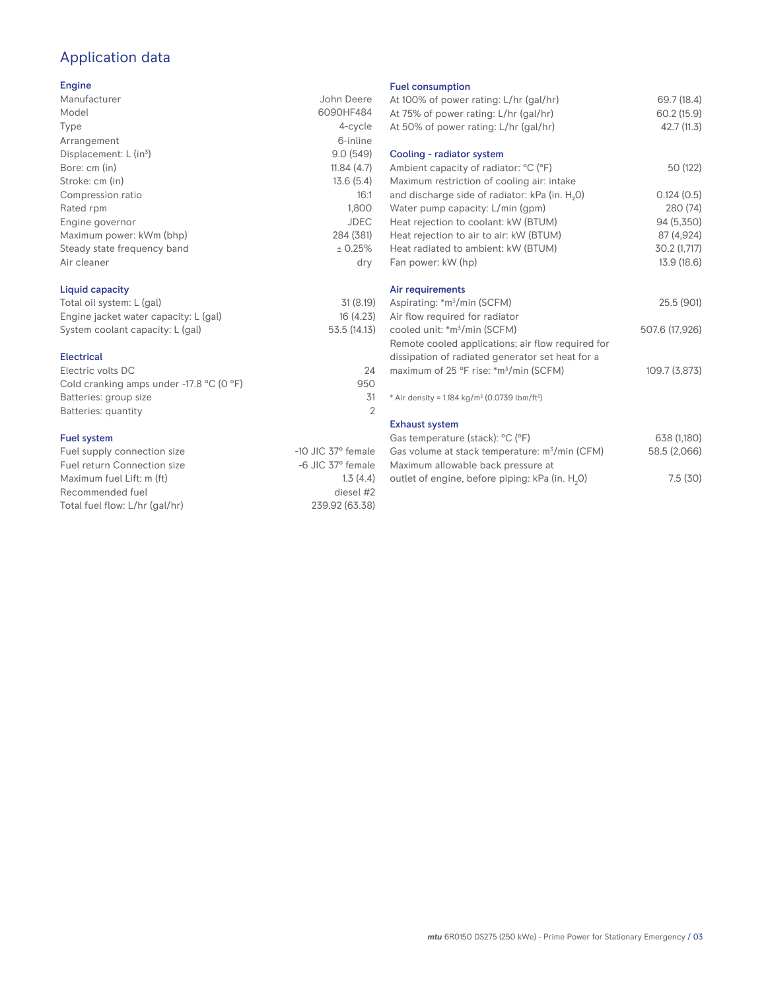# Application data

#### Engine

| Manufacturer                | John Deere  |
|-----------------------------|-------------|
| Model                       | 6090HF484   |
| Type                        | 4-cycle     |
| Arrangement                 | 6-inline    |
| Displacement: $L (in3)$     | 9.0(549)    |
| Bore: cm (in)               | 11.84(4.7)  |
| Stroke: cm (in)             | 13.6(5.4)   |
| Compression ratio           | 16:1        |
| Rated rpm                   | 1.800       |
| Engine governor             | <b>JDEC</b> |
| Maximum power: kWm (bhp)    | 284 (381)   |
| Steady state frequency band | ± 0.25%     |
| Air cleaner                 | dry         |
|                             |             |

## Liquid capacity

| Total oil system: L (gal)             | 31(8.19)     |
|---------------------------------------|--------------|
| Engine jacket water capacity: L (gal) | 16(4.23)     |
| System coolant capacity: L (gal)      | 53.5 (14.13) |

#### Electrical

| Electric volts DC                                            | 24  |
|--------------------------------------------------------------|-----|
| Cold cranking amps under -17.8 $^{\circ}$ C (O $^{\circ}$ F) | 950 |
| Batteries: group size                                        | .31 |
| Batteries: quantity                                          |     |
|                                                              |     |

### Fuel system

| $-10$ JIC 37 $\degree$ female |
|-------------------------------|
| $-6$ JIC 37 $^{\circ}$ female |
| 1.3(4.4)                      |
| diesel #2                     |
| 239.92 (63.38)                |
|                               |

#### Fuel consumption

| At 100% of power rating: L/hr (gal/hr)<br>At 75% of power rating: L/hr (gal/hr)<br>At 50% of power rating: L/hr (gal/hr) | 69.7 (18.4)<br>60.2 (15.9)<br>42.7 (11.3) |
|--------------------------------------------------------------------------------------------------------------------------|-------------------------------------------|
| Cooling - radiator system                                                                                                |                                           |
| Ambient capacity of radiator: °C (°F)                                                                                    | 50 (122)                                  |
| Maximum restriction of cooling air: intake                                                                               |                                           |
| and discharge side of radiator: kPa (in. H <sub>2</sub> 0)                                                               | 0.124(0.5)                                |
| Water pump capacity: L/min (gpm)                                                                                         | 280 (74)                                  |
| Heat rejection to coolant: kW (BTUM)                                                                                     | 94 (5,350)                                |
| Heat rejection to air to air: kW (BTUM)                                                                                  | 87 (4,924)                                |
| Heat radiated to ambient: kW (BTUM)                                                                                      | 30.2 (1,717)                              |
| Fan power: kW (hp)                                                                                                       | 13.9 (18.6)                               |
| Air requirements                                                                                                         |                                           |
| Aspirating: *m <sup>3</sup> /min (SCFM)                                                                                  | 25.5 (901)                                |
| Air flow required for radiator                                                                                           |                                           |
| cooled unit: *m <sup>3</sup> /min (SCFM)                                                                                 | 507.6 (17,926)                            |
| Remote cooled applications; air flow required for                                                                        |                                           |
| dissipation of radiated generator set heat for a                                                                         |                                           |
| maximum of 25 °F rise: *m <sup>3</sup> /min (SCFM)                                                                       | 109.7 (3,873)                             |
| * Air density = $1.184 \text{ kg/m}^3$ (0.0739 lbm/ft <sup>3</sup> )                                                     |                                           |
| <b>Exhaust system</b>                                                                                                    |                                           |
| Gas temperature (stack): °C (°F)                                                                                         | 638 (1,180)                               |
| Gas volume at stack temperature: m <sup>3</sup> /min (CFM)                                                               | 58.5 (2,066)                              |
| Maximum allowable back pressure at                                                                                       |                                           |
| outlet of engine, before piping: kPa (in. H <sub>2</sub> 0)                                                              | 7.5(30)                                   |
|                                                                                                                          |                                           |